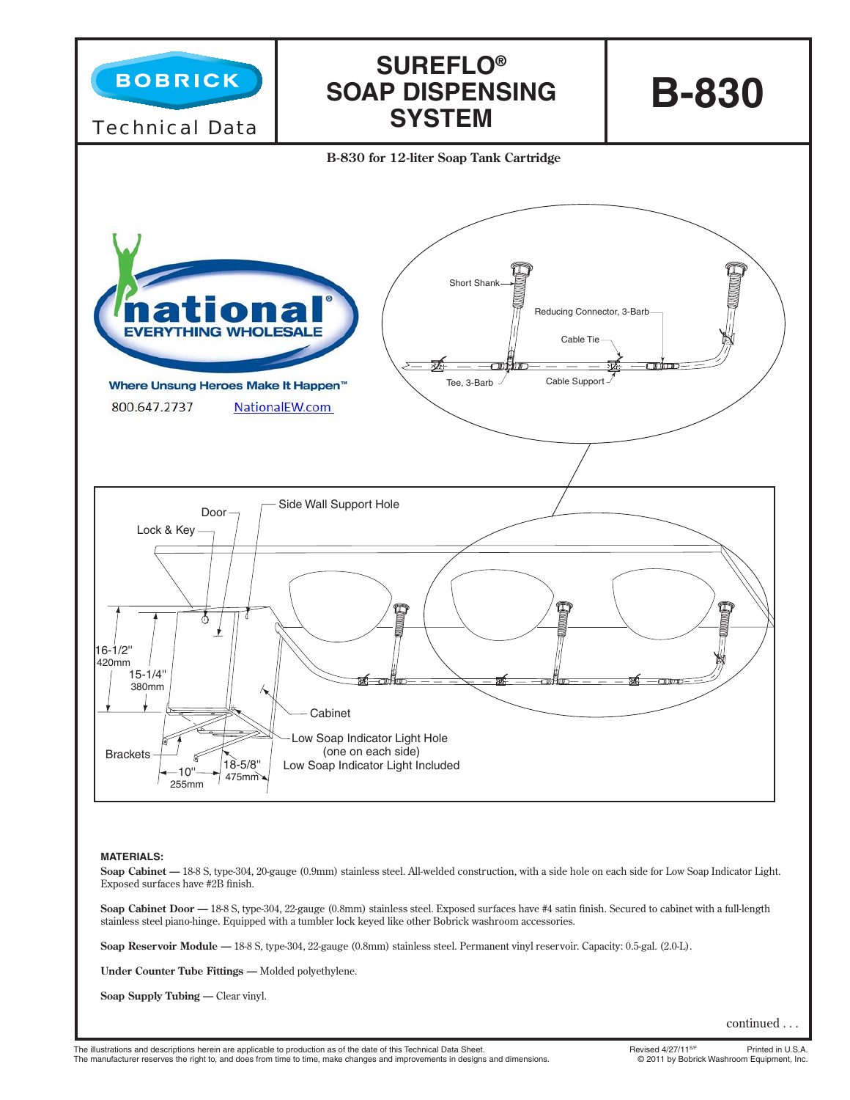

# **MATERIALS:**

Soap Cabinet - 18-8 S, type-304, 20-gauge (0.9mm) stainless steel. All-welded construction, with a side hole on each side for Low Soap Indicator Light. Exposed surfaces have #2B finish.

Soap Cabinet Door - 18-8 S, type-304, 22-gauge (0.8mm) stainless steel. Exposed surfaces have #4 satin finish. Secured to cabinet with a full-length stainless steel piano-hinge. Equipped with a tumbler lock keyed like other Bobrick washroom accessories.

**Soap Reservoir Module —** 18-8 S, type-304, 22-gauge (0.8mm) stainless steel. Permanent vinyl reservoir. Capacity: 0.5-gal. (2.0-L).

**Under Counter Tube Fittings —** Molded polyethylene.

**Soap Supply Tubing —** Clear vinyl.